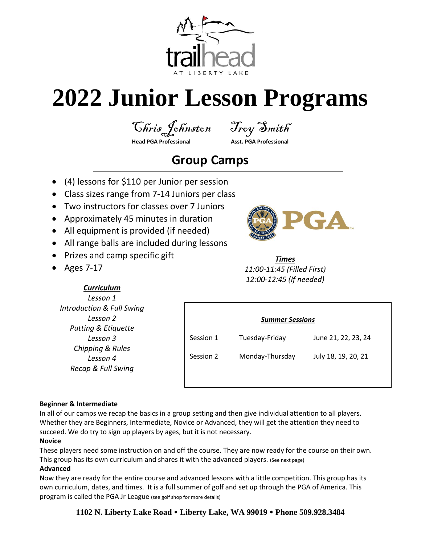

# **2022 Junior Lesson Programs**

Chris Johnston Troy Smith

## **Head PGA Professional Asst. PGA Professional**

## **Group Camps**

- (4) lessons for \$110 per Junior per session
- Class sizes range from 7-14 Juniors per class
- Two instructors for classes over 7 Juniors
- Approximately 45 minutes in duration
- All equipment is provided (if needed)
- All range balls are included during lessons
- Prizes and camp specific gift

*Curriculum Lesson 1 Introduction & Full Swing Lesson 2 Putting & Etiquette Lesson 3 Chipping & Rules Lesson 4 Recap & Full Swing*

• Ages 7-17



*Times 11:00-11:45 (Filled First) 12:00-12:45 (If needed)*

*Summer Sessions*

Session 1 Tuesday-Friday June 21, 22, 23, 24

Session 2 Monday-Thursday July 18, 19, 20, 21

#### **Beginner & Intermediate**

In all of our camps we recap the basics in a group setting and then give individual attention to all players. Whether they are Beginners, Intermediate, Novice or Advanced, they will get the attention they need to succeed. We do try to sign up players by ages, but it is not necessary.

#### **Novice**

These players need some instruction on and off the course. They are now ready for the course on their own. This group has its own curriculum and shares it with the advanced players. (See next page)

#### **Advanced**

Now they are ready for the entire course and advanced lessons with a little competition. This group has its own curriculum, dates, and times. It is a full summer of golf and set up through the PGA of America. This program is called the PGA Jr League (see golf shop for more details)